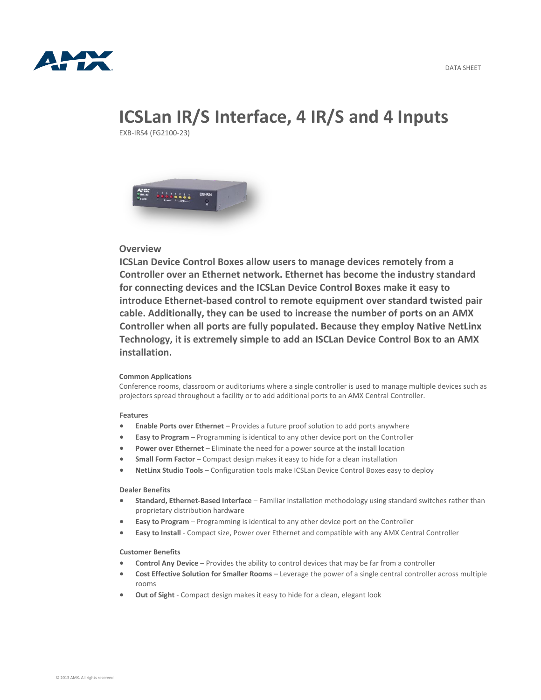

# **ICSLan IR/S Interface, 4 IR/S and 4 Inputs**

EXB-IRS4 (FG2100-23)



### **Overview**

**ICSLan Device Control Boxes allow users to manage devices remotely from a Controller over an Ethernet network. Ethernet has become the industry standard for connecting devices and the ICSLan Device Control Boxes make it easy to introduce Ethernet-based control to remote equipment over standard twisted pair cable. Additionally, they can be used to increase the number of ports on an AMX Controller when all ports are fully populated. Because they employ Native NetLinx Technology, it is extremely simple to add an ISCLan Device Control Box to an AMX installation.**

#### **Common Applications**

Conference rooms, classroom or auditoriums where a single controller is used to manage multiple devices such as projectors spread throughout a facility or to add additional ports to an AMX Central Controller.

#### **Features**

- **Enable Ports over Ethernet** Provides a future proof solution to add ports anywhere
- **Easy to Program** Programming is identical to any other device port on the Controller
- **Power over Ethernet** Eliminate the need for a power source at the install location
- **Small Form Factor** Compact design makes it easy to hide for a clean installation
- **NetLinx Studio Tools** Configuration tools make ICSLan Device Control Boxes easy to deploy

#### **Dealer Benefits**

- **Standard, Ethernet-Based Interface** Familiar installation methodology using standard switches rather than proprietary distribution hardware
- **Easy to Program** Programming is identical to any other device port on the Controller
- **Easy to Install** Compact size, Power over Ethernet and compatible with any AMX Central Controller

#### **Customer Benefits**

- **Control Any Device** Provides the ability to control devices that may be far from a controller
- **Cost Effective Solution for Smaller Rooms** Leverage the power of a single central controller across multiple rooms
- **Out of Sight** Compact design makes it easy to hide for a clean, elegant look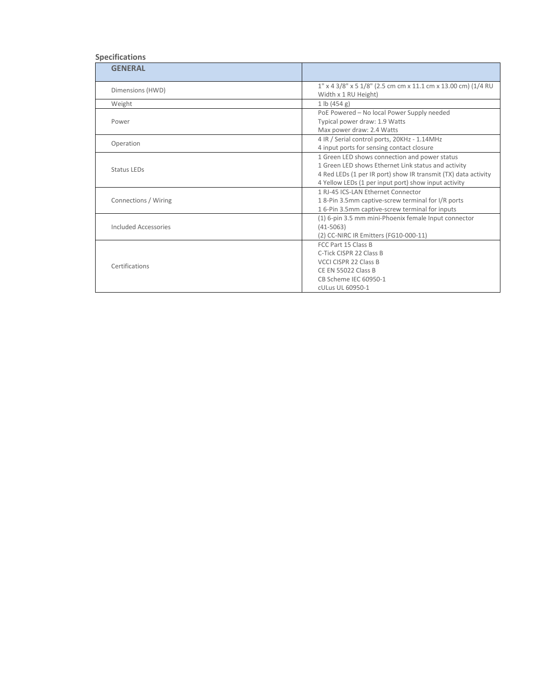## **Specifications**

| <b>GENERAL</b>       |                                                                                                                                                                                                                                |
|----------------------|--------------------------------------------------------------------------------------------------------------------------------------------------------------------------------------------------------------------------------|
| Dimensions (HWD)     | $1''$ x 4 3/8" x 5 1/8" (2.5 cm cm x 11.1 cm x 13.00 cm) (1/4 RU<br>Width x 1 RU Height)                                                                                                                                       |
| Weight               | 1 lb (454 g)                                                                                                                                                                                                                   |
| Power                | PoE Powered - No local Power Supply needed<br>Typical power draw: 1.9 Watts<br>Max power draw: 2.4 Watts                                                                                                                       |
| Operation            | 4 IR / Serial control ports, 20KHz - 1.14MHz<br>4 input ports for sensing contact closure                                                                                                                                      |
| <b>Status LEDs</b>   | 1 Green LED shows connection and power status<br>1 Green LED shows Ethernet Link status and activity<br>4 Red LEDs (1 per IR port) show IR transmit (TX) data activity<br>4 Yellow LEDs (1 per input port) show input activity |
| Connections / Wiring | 1 RI-45 ICS-LAN Ethernet Connector<br>18-Pin 3.5mm captive-screw terminal for I/R ports<br>16-Pin 3.5mm captive-screw terminal for inputs                                                                                      |
| Included Accessories | (1) 6-pin 3.5 mm mini-Phoenix female Input connector<br>$(41 - 5063)$<br>(2) CC-NIRC IR Emitters (FG10-000-11)                                                                                                                 |
| Certifications       | FCC Part 15 Class B<br>C-Tick CISPR 22 Class B<br>VCCI CISPR 22 Class B<br><b>CE EN 55022 Class B</b><br>CB Scheme IEC 60950-1<br>cULus UL 60950-1                                                                             |